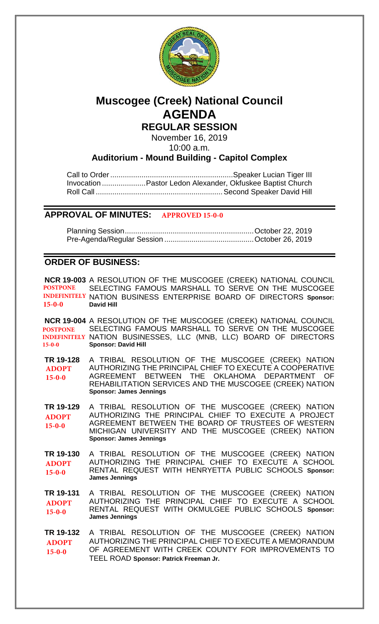

# **Muscogee (Creek) National Council AGENDA REGULAR SESSION**

November 16, 2019

10:00 a.m.

## **Auditorium - Mound Building - Capitol Complex**

Call to Order...........................................................Speaker Lucian Tiger III Invocation .....................Pastor Ledon Alexander, Okfuskee Baptist Church Roll Call .............................................................Second Speaker David Hill

## **APPROVAL OF MINUTES: APPROVED 15-0-0**

Planning Session..............................................................October 22, 2019 Pre-Agenda/Regular Session ...........................................October 26, 2019

## **ORDER OF BUSINESS:**

**[NCR 19-003](bills/NCR19-003.pdf)** A RESOLUTION OF THE MUSCOGEE (CREEK) NATIONAL COUNCIL SELECTING FAMOUS MARSHALL TO SERVE ON THE MUSCOGEE INDEFINITELY NATION BUSINESS ENTERPRISE BOARD OF DIRECTORS Sponsor: **David Hill POSTPONE 15-0-0**

**[NCR 19-004](bills/NCR19-004.pdf)** A RESOLUTION OF THE MUSCOGEE (CREEK) NATIONAL COUNCIL SELECTING FAMOUS MARSHALL TO SERVE ON THE MUSCOGEE INDEFINITELY NATION BUSINESSES, LLC (MNB, LLC) BOARD OF DIRECTORS **Sponsor: David Hill POSTPONE 15-0-0**

**[TR 19-128](bills/19-128.pdf)** A TRIBAL RESOLUTION OF THE MUSCOGEE (CREEK) NATION AUTHORIZING THE PRINCIPAL CHIEF TO EXECUTE A COOPERATIVE AGREEMENT BETWEEN THE OKLAHOMA DEPARTMENT OF REHABILITATION SERVICES AND THE MUSCOGEE (CREEK) NATION **Sponsor: James Jennings ADOPT 15-0-0**

**[TR 19-129](bills/19-129.pdf)** A TRIBAL RESOLUTION OF THE MUSCOGEE (CREEK) NATION AUTHORIZING THE PRINCIPAL CHIEF TO EXECUTE A PROJECT AGREEMENT BETWEEN THE BOARD OF TRUSTEES OF WESTERN MICHIGAN UNIVERSITY AND THE MUSCOGEE (CREEK) NATION **Sponsor: James Jennings ADOPT 15-0-0**

**[TR 19-130](bills/19-130.pdf)** A TRIBAL RESOLUTION OF THE MUSCOGEE (CREEK) NATION AUTHORIZING THE PRINCIPAL CHIEF TO EXECUTE A SCHOOL RENTAL REQUEST WITH HENRYETTA PUBLIC SCHOOLS **Sponsor: James Jennings ADOPT 15-0-0**

**[TR 19-131](bills/19-131.pdf)** A TRIBAL RESOLUTION OF THE MUSCOGEE (CREEK) NATION AUTHORIZING THE PRINCIPAL CHIEF TO EXECUTE A SCHOOL RENTAL REQUEST WITH OKMULGEE PUBLIC SCHOOLS **Sponsor: James Jennings ADOPT 15-0-0**

**[TR 19-132](bills/19-132.pdf)** A TRIBAL RESOLUTION OF THE MUSCOGEE (CREEK) NATION AUTHORIZING THE PRINCIPAL CHIEF TO EXECUTE A MEMORANDUM OF AGREEMENT WITH CREEK COUNTY FOR IMPROVEMENTS TO TEEL ROAD **Sponsor: Patrick Freeman Jr. ADOPT 15-0-0**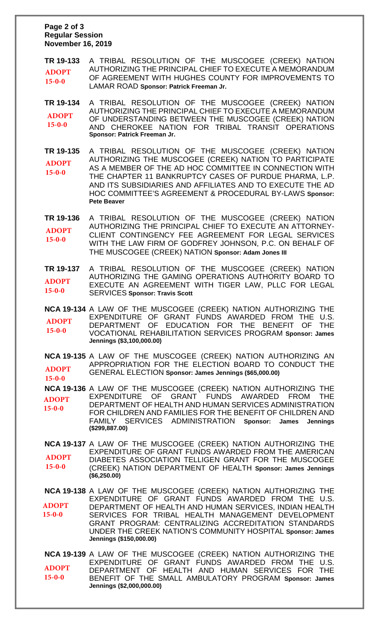### **Page 2 of 3 Regular Session November 16, 2019**

**[TR 19-133](bills/19-133.pdf)** A TRIBAL RESOLUTION OF THE MUSCOGEE (CREEK) NATION AUTHORIZING THE PRINCIPAL CHIEF TO EXECUTE A MEMORANDUM OF AGREEMENT WITH HUGHES COUNTY FOR IMPROVEMENTS TO LAMAR ROAD **Sponsor: Patrick Freeman Jr. ADOPT 15-0-0**

**[TR 19-134](bills/19-134.pdf)** A TRIBAL RESOLUTION OF THE MUSCOGEE (CREEK) NATION AUTHORIZING THE PRINCIPAL CHIEF TO EXECUTE A MEMORANDUM OF UNDERSTANDING BETWEEN THE MUSCOGEE (CREEK) NATION AND CHEROKEE NATION FOR TRIBAL TRANSIT OPERATIONS **Sponsor: Patrick Freeman Jr. ADOPT 15-0-0**

**[TR 19-135](bills/19-135.pdf)** A TRIBAL RESOLUTION OF THE MUSCOGEE (CREEK) NATION AUTHORIZING THE MUSCOGEE (CREEK) NATION TO PARTICIPATE AS A MEMBER OF THE AD HOC COMMITTEE IN CONNECTION WITH THE CHAPTER 11 BANKRUPTCY CASES OF PURDUE PHARMA, L.P. AND ITS SUBSIDIARIES AND AFFILIATES AND TO EXECUTE THE AD HOC COMMITTEE'S AGREEMENT & PROCEDURAL BY-LAWS **Sponsor: Pete Beaver ADOPT 15-0-0**

**[TR 19-136](bills/19-136.pdf)** A TRIBAL RESOLUTION OF THE MUSCOGEE (CREEK) NATION AUTHORIZING THE PRINCIPAL CHIEF TO EXECUTE AN ATTORNEY-CLIENT CONTINGENCY FEE AGREEMENT FOR LEGAL SERVICES WITH THE LAW FIRM OF GODFREY JOHNSON, P.C. ON BEHALF OF THE MUSCOGEE (CREEK) NATION **Sponsor: Adam Jones III ADOPT 15-0-0**

**[TR 19-137](bills/19-137.pdf)** A TRIBAL RESOLUTION OF THE MUSCOGEE (CREEK) NATION AUTHORIZING THE GAMING OPERATIONS AUTHORITY BOARD TO EXECUTE AN AGREEMENT WITH TIGER LAW, PLLC FOR LEGAL SERVICES **Sponsor: Travis Scott ADOPT 15-0-0**

**[NCA 19-134](bills/NCA19-134.pdf)** A LAW OF THE MUSCOGEE (CREEK) NATION AUTHORIZING THE EXPENDITURE OF GRANT FUNDS AWARDED FROM THE U.S. DEPARTMENT OF EDUCATION FOR THE BENEFIT OF THE VOCATIONAL REHABILITATION SERVICES PROGRAM **Sponsor: James Jennings (\$3,100,000.00) ADOPT 15-0-0**

**[NCA 19-135](bills/NCA19-135.pdf)** A LAW OF THE MUSCOGEE (CREEK) NATION AUTHORIZING AN APPROPRIATION FOR THE ELECTION BOARD TO CONDUCT THE GENERAL ELECTION **Sponsor: James Jennings (\$65,000.00) ADOPT 15-0-0**

**[NCA 19-136](bills/NCA19-136.pdf)** A LAW OF THE MUSCOGEE (CREEK) NATION AUTHORIZING THE OF GRANT FUNDS AWARDED FROM THE DEPARTMENT OF HEALTH AND HUMAN SERVICES ADMINISTRATION FOR CHILDREN AND FAMILIES FOR THE BENEFIT OF CHILDREN AND FAMILY SERVICES ADMINISTRATION **Sponsor: James Jennings (\$299,887.00) ADOPT 15-0-0**

**[NCA 19-137](bills/NCA19-137.pdf)** A LAW OF THE MUSCOGEE (CREEK) NATION AUTHORIZING THE EXPENDITURE OF GRANT FUNDS AWARDED FROM THE AMERICAN DIABETES ASSOCIATION TELLIGEN GRANT FOR THE MUSCOGEE (CREEK) NATION DEPARTMENT OF HEALTH **Sponsor: James Jennings (\$6,250.00) ADOPT 15-0-0**

**[NCA 19-138](bills/NCA19-138.pdf)** A LAW OF THE MUSCOGEE (CREEK) NATION AUTHORIZING THE EXPENDITURE OF GRANT FUNDS AWARDED FROM THE U.S. DEPARTMENT OF HEALTH AND HUMAN SERVICES, INDIAN HEALTH SERVICES FOR TRIBAL HEALTH MANAGEMENT DEVELOPMENT GRANT PROGRAM: CENTRALIZING ACCREDITATION STANDARDS UNDER THE CREEK NATION'S COMMUNITY HOSPITAL **Sponsor: James Jennings (\$150,000.00) ADOPT 15-0-0**

**[NCA 19-139](bills/NCA19-139.pdf)** A LAW OF THE MUSCOGEE (CREEK) NATION AUTHORIZING THE EXPENDITURE OF GRANT FUNDS AWARDED FROM THE U.S. DEPARTMENT OF HEALTH AND HUMAN SERVICES FOR THE BENEFIT OF THE SMALL AMBULATORY PROGRAM **Sponsor: James Jennings (\$2,000,000.00) ADOPT 15-0-0**